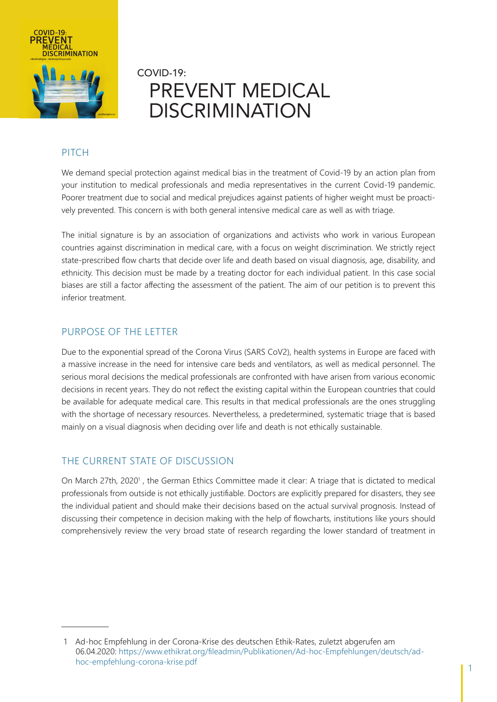

# COVID-19: PREVENT MEDICAL DISCRIMINATION

### PITCH

We demand special protection against medical bias in the treatment of Covid-19 by an action plan from your institution to medical professionals and media representatives in the current Covid-19 pandemic. Poorer treatment due to social and medical prejudices against patients of higher weight must be proactively prevented. This concern is with both general intensive medical care as well as with triage.

The initial signature is by an association of organizations and activists who work in various European countries against discrimination in medical care, with a focus on weight discrimination. We strictly reject state-prescribed flow charts that decide over life and death based on visual diagnosis, age, disability, and ethnicity. This decision must be made by a treating doctor for each individual patient. In this case social biases are still a factor affecting the assessment of the patient. The aim of our petition is to prevent this inferior treatment.

### PURPOSE OF THE LETTER

Due to the exponential spread of the Corona Virus (SARS CoV2), health systems in Europe are faced with a massive increase in the need for intensive care beds and ventilators, as well as medical personnel. The serious moral decisions the medical professionals are confronted with have arisen from various economic decisions in recent years. They do not reflect the existing capital within the European countries that could be available for adequate medical care. This results in that medical professionals are the ones struggling with the shortage of necessary resources. Nevertheless, a predetermined, systematic triage that is based mainly on a visual diagnosis when deciding over life and death is not ethically sustainable.

### THE CURRENT STATE OF DISCUSSION

On March 27th, 2020<sup>1</sup>, the German Ethics Committee made it clear: A triage that is dictated to medical professionals from outside is not ethically justifiable. Doctors are explicitly prepared for disasters, they see the individual patient and should make their decisions based on the actual survival prognosis. Instead of discussing their competence in decision making with the help of flowcharts, institutions like yours should comprehensively review the very broad state of research regarding the lower standard of treatment in

<sup>1</sup> Ad-hoc Empfehlung in der Corona-Krise des deutschen Ethik-Rates, zuletzt abgerufen am 06.04.2020: https://www.ethikrat.org/fileadmin/Publikationen/Ad-hoc-Empfehlungen/deutsch/adhoc-empfehlung-corona-krise.pdf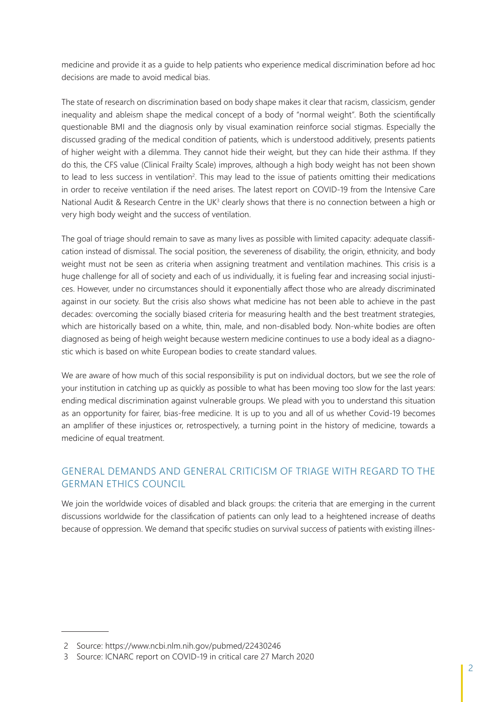medicine and provide it as a guide to help patients who experience medical discrimination before ad hoc decisions are made to avoid medical bias.

The state of research on discrimination based on body shape makes it clear that racism, classicism, gender inequality and ableism shape the medical concept of a body of "normal weight". Both the scientifically questionable BMI and the diagnosis only by visual examination reinforce social stigmas. Especially the discussed grading of the medical condition of patients, which is understood additively, presents patients of higher weight with a dilemma. They cannot hide their weight, but they can hide their asthma. If they do this, the CFS value (Clinical Frailty Scale) improves, although a high body weight has not been shown to lead to less success in ventilation<sup>2</sup>. This may lead to the issue of patients omitting their medications in order to receive ventilation if the need arises. The latest report on COVID-19 from the Intensive Care National Audit & Research Centre in the UK<sup>3</sup> clearly shows that there is no connection between a high or very high body weight and the success of ventilation.

The goal of triage should remain to save as many lives as possible with limited capacity: adequate classification instead of dismissal. The social position, the severeness of disability, the origin, ethnicity, and body weight must not be seen as criteria when assigning treatment and ventilation machines. This crisis is a huge challenge for all of society and each of us individually, it is fueling fear and increasing social injustices. However, under no circumstances should it exponentially affect those who are already discriminated against in our society. But the crisis also shows what medicine has not been able to achieve in the past decades: overcoming the socially biased criteria for measuring health and the best treatment strategies, which are historically based on a white, thin, male, and non-disabled body. Non-white bodies are often diagnosed as being of heigh weight because western medicine continues to use a body ideal as a diagnostic which is based on white European bodies to create standard values.

We are aware of how much of this social responsibility is put on individual doctors, but we see the role of your institution in catching up as quickly as possible to what has been moving too slow for the last years: ending medical discrimination against vulnerable groups. We plead with you to understand this situation as an opportunity for fairer, bias-free medicine. It is up to you and all of us whether Covid-19 becomes an amplifier of these injustices or, retrospectively, a turning point in the history of medicine, towards a medicine of equal treatment.

## GENERAL DEMANDS AND GENERAL CRITICISM OF TRIAGE WITH REGARD TO THE GERMAN ETHICS COUNCIL

We join the worldwide voices of disabled and black groups: the criteria that are emerging in the current discussions worldwide for the classification of patients can only lead to a heightened increase of deaths because of oppression. We demand that specific studies on survival success of patients with existing illnes-

<sup>2</sup> Source: https://www.ncbi.nlm.nih.gov/pubmed/22430246

<sup>3</sup> Source: ICNARC report on COVID-19 in critical care 27 March 2020